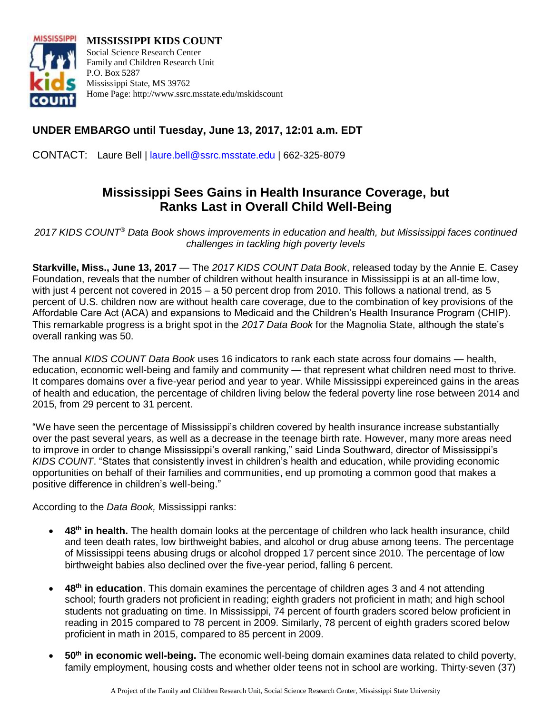

**MISSISSIPPI KIDS COUNT** Social Science Research Center Family and Children Research Unit P.O. Box 5287 Mississippi State, MS 39762 Home Page: http://www.ssrc.msstate.edu/mskidscount

## **UNDER EMBARGO until Tuesday, June 13, 2017, 12:01 a.m. EDT**

CONTACT: Laure Bell | [laure.bell@ssrc.msstate.edu](mailto:laure.bell@ssrc.msstate.edu) | 662-325-8079

# **Mississippi Sees Gains in Health Insurance Coverage, but Ranks Last in Overall Child Well-Being**

*2017 KIDS COUNT® Data Book shows improvements in education and health, but Mississippi faces continued challenges in tackling high poverty levels*

**Starkville, Miss., June 13, 2017** — The *2017 KIDS COUNT Data Book*, released today by the Annie E. Casey Foundation, reveals that the number of children without health insurance in Mississippi is at an all-time low, with just 4 percent not covered in 2015 – a 50 percent drop from 2010. This follows a national trend, as 5 percent of U.S. children now are without health care coverage, due to the combination of key provisions of the Affordable Care Act (ACA) and expansions to Medicaid and the Children's Health Insurance Program (CHIP). This remarkable progress is a bright spot in the *2017 Data Book* for the Magnolia State, although the state's overall ranking was 50.

The annual *KIDS COUNT Data Book* uses 16 indicators to rank each state across four domains — health, education, economic well-being and family and community — that represent what children need most to thrive. It compares domains over a five-year period and year to year. While Mississippi expereinced gains in the areas of health and education, the percentage of children living below the federal poverty line rose between 2014 and 2015, from 29 percent to 31 percent.

"We have seen the percentage of Mississippi's children covered by health insurance increase substantially over the past several years, as well as a decrease in the teenage birth rate. However, many more areas need to improve in order to change Mississippi's overall ranking," said Linda Southward, director of Mississippi's *KIDS COUNT*. "States that consistently invest in children's health and education, while providing economic opportunities on behalf of their families and communities, end up promoting a common good that makes a positive difference in children's well-being."

According to the *Data Book,* Mississippi ranks:

- **48th in health.** The health domain looks at the percentage of children who lack health insurance, child and teen death rates, low birthweight babies, and alcohol or drug abuse among teens. The percentage of Mississippi teens abusing drugs or alcohol dropped 17 percent since 2010. The percentage of low birthweight babies also declined over the five-year period, falling 6 percent.
- **48th in education**. This domain examines the percentage of children ages 3 and 4 not attending school; fourth graders not proficient in reading; eighth graders not proficient in math; and high school students not graduating on time. In Mississippi, 74 percent of fourth graders scored below proficient in reading in 2015 compared to 78 percent in 2009. Similarly, 78 percent of eighth graders scored below proficient in math in 2015, compared to 85 percent in 2009.
- **50th in economic well-being.** The economic well-being domain examines data related to child poverty, family employment, housing costs and whether older teens not in school are working. Thirty-seven (37)